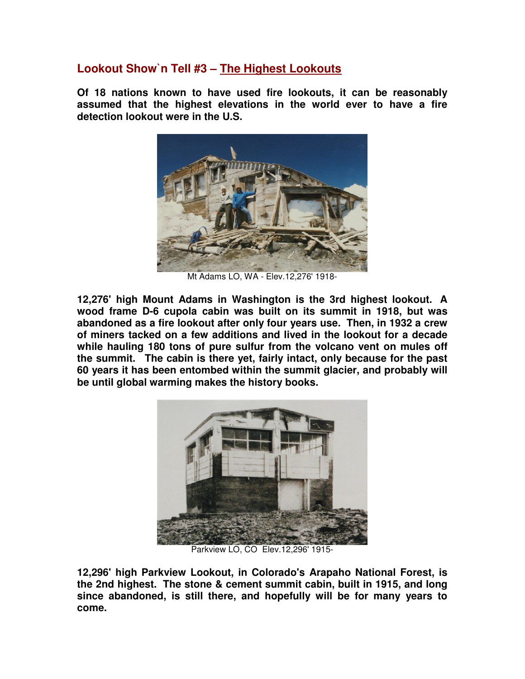## **Lookout Show`n Tell #3 – The Highest Lookouts**

**Of 18 nations known to have used fire lookouts, it can be reasonably assumed that the highest elevations in the world ever to have a fire detection lookout were in the U.S.** 



Mt Adams LO, WA - Elev.12,276' 1918-

**12,276' high Mount Adams in Washington is the 3rd highest lookout. A wood frame D-6 cupola cabin was built on its summit in 1918, but was abandoned as a fire lookout after only four years use. Then, in 1932 a crew of miners tacked on a few additions and lived in the lookout for a decade while hauling 180 tons of pure sulfur from the volcano vent on mules off the summit. The cabin is there yet, fairly intact, only because for the past 60 years it has been entombed within the summit glacier, and probably will be until global warming makes the history books.**



Parkview LO, CO Elev.12,296' 1915-

**12,296' high Parkview Lookout, in Colorado's Arapaho National Forest, is the 2nd highest. The stone & cement summit cabin, built in 1915, and long since abandoned, is still there, and hopefully will be for many years to come.**